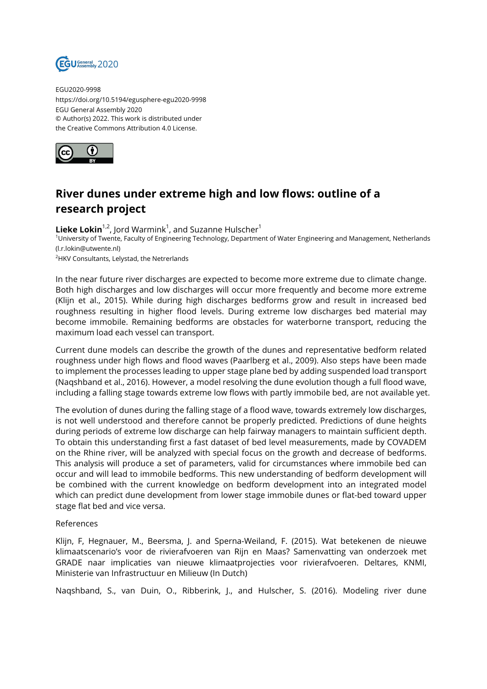

EGU2020-9998 https://doi.org/10.5194/egusphere-egu2020-9998 EGU General Assembly 2020 © Author(s) 2022. This work is distributed under the Creative Commons Attribution 4.0 License.



## **River dunes under extreme high and low flows: outline of a research project**

 $\mathsf{Lieke}\ \mathsf{Lokin}^{1,2}$ , Jord Warmink<sup>1</sup>, and Suzanne Hulscher<sup>1</sup> <sup>1</sup>University of Twente, Faculty of Engineering Technology, Department of Water Engineering and Management, Netherlands (l.r.lokin@utwente.nl) <sup>2</sup>HKV Consultants, Lelystad, the Netrerlands

In the near future river discharges are expected to become more extreme due to climate change. Both high discharges and low discharges will occur more frequently and become more extreme (Klijn et al., 2015). While during high discharges bedforms grow and result in increased bed roughness resulting in higher flood levels. During extreme low discharges bed material may become immobile. Remaining bedforms are obstacles for waterborne transport, reducing the maximum load each vessel can transport.

Current dune models can describe the growth of the dunes and representative bedform related roughness under high flows and flood waves (Paarlberg et al., 2009). Also steps have been made to implement the processes leading to upper stage plane bed by adding suspended load transport (Naqshband et al., 2016). However, a model resolving the dune evolution though a full flood wave, including a falling stage towards extreme low flows with partly immobile bed, are not available yet.

The evolution of dunes during the falling stage of a flood wave, towards extremely low discharges, is not well understood and therefore cannot be properly predicted. Predictions of dune heights during periods of extreme low discharge can help fairway managers to maintain sufficient depth. To obtain this understanding first a fast dataset of bed level measurements, made by COVADEM on the Rhine river, will be analyzed with special focus on the growth and decrease of bedforms. This analysis will produce a set of parameters, valid for circumstances where immobile bed can occur and will lead to immobile bedforms. This new understanding of bedform development will be combined with the current knowledge on bedform development into an integrated model which can predict dune development from lower stage immobile dunes or flat-bed toward upper stage flat bed and vice versa.

## References

Klijn, F, Hegnauer, M., Beersma, J. and Sperna-Weiland, F. (2015). Wat betekenen de nieuwe klimaatscenario's voor de rivierafvoeren van Rijn en Maas? Samenvatting van onderzoek met GRADE naar implicaties van nieuwe klimaatprojecties voor rivierafvoeren. Deltares, KNMI, Ministerie van Infrastructuur en Milieuw (In Dutch)

Naqshband, S., van Duin, O., Ribberink, J., and Hulscher, S. (2016). Modeling river dune